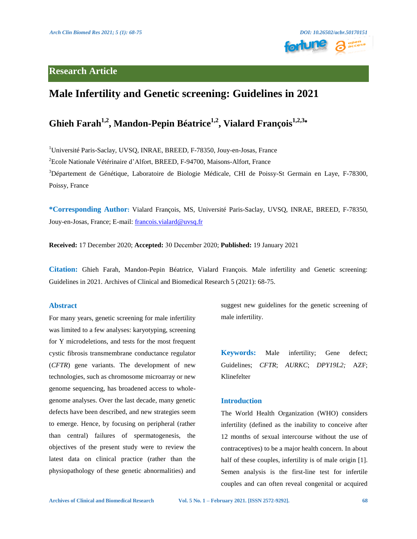# **Research Article**



# **Male Infertility and Genetic screening: Guidelines in 2021**

# **Ghieh Farah1,2 , Mandon-Pepin Béatrice1,2 , Vialard François1,2,3**\*

<sup>1</sup>Université Paris-Saclay, UVSQ, INRAE, BREED, F-78350, Jouy-en-Josas, France

<sup>2</sup>Ecole Nationale Vétérinaire d'Alfort, BREED, F-94700, Maisons-Alfort, France

<sup>3</sup>Département de Génétique, Laboratoire de Biologie Médicale, CHI de Poissy-St Germain en Laye, F-78300, Poissy, France

**\*Corresponding Author:** Vialard François, MS, Université Paris-Saclay, UVSQ, INRAE, BREED, F-78350, Jouy-en-Josas, France; E-mail: [francois.vialard@uvsq.fr](mailto:francois.vialard@uvsq.fr)

**Received:** 17 December 2020; **Accepted:** 30 December 2020; **Published:** 19 January 2021

**Citation:** Ghieh Farah, Mandon-Pepin Béatrice, Vialard François. Male infertility and Genetic screening: Guidelines in 2021. Archives of Clinical and Biomedical Research 5 (2021): 68-75.

#### **Abstract**

For many years, genetic screening for male infertility was limited to a few analyses: karyotyping, screening for Y microdeletions, and tests for the most frequent cystic fibrosis transmembrane conductance regulator (*CFTR*) gene variants. The development of new technologies, such as chromosome microarray or new genome sequencing, has broadened access to wholegenome analyses. Over the last decade, many genetic defects have been described, and new strategies seem to emerge. Hence, by focusing on peripheral (rather than central) failures of spermatogenesis, the objectives of the present study were to review the latest data on clinical practice (rather than the physiopathology of these genetic abnormalities) and suggest new guidelines for the genetic screening of male infertility.

**Keywords:** Male infertility; Gene defect; Guidelines; *CFTR*; *AURKC*; *DPY19L2;* AZF; Klinefelter

## **Introduction**

The World Health Organization (WHO) considers infertility (defined as the inability to conceive after 12 months of sexual intercourse without the use of contraceptives) to be a major health concern. In about half of these couples, infertility is of male origin [1]. Semen analysis is the first-line test for infertile couples and can often reveal congenital or acquired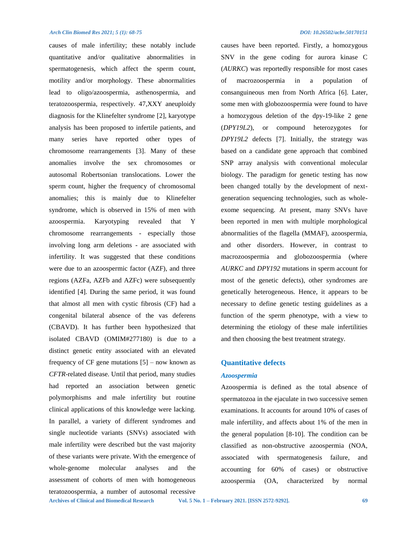**Archives of Clinical and Biomedical Research Vol. 5 No. 1 – February 2021. [ISSN 2572-9292]. 69** causes of male infertility; these notably include quantitative and/or qualitative abnormalities in spermatogenesis, which affect the sperm count, motility and/or morphology. These abnormalities lead to oligo/azoospermia, asthenospermia, and teratozoospermia, respectively. 47,XXY aneuploidy diagnosis for the Klinefelter syndrome [2], karyotype analysis has been proposed to infertile patients, and many series have reported other types of chromosome rearrangements [3]. Many of these anomalies involve the sex chromosomes or autosomal Robertsonian translocations. Lower the sperm count, higher the frequency of chromosomal anomalies; this is mainly due to Klinefelter syndrome, which is observed in 15% of men with azoospermia. Karyotyping revealed that Y chromosome rearrangements - especially those involving long arm deletions - are associated with infertility. It was suggested that these conditions were due to an azoospermic factor (AZF), and three regions (AZFa, AZFb and AZFc) were subsequently identified [4]. During the same period, it was found that almost all men with cystic fibrosis (CF) had a congenital bilateral absence of the vas deferens (CBAVD). It has further been hypothesized that isolated CBAVD (OMIM#277180) is due to a distinct genetic entity associated with an elevated frequency of CF gene mutations  $[5]$  – now known as *CFTR*-related disease. Until that period, many studies had reported an association between genetic polymorphisms and male infertility but routine clinical applications of this knowledge were lacking. In parallel, a variety of different syndromes and single nucleotide variants (SNVs) associated with male infertility were described but the vast majority of these variants were private. With the emergence of whole-genome molecular analyses and the assessment of cohorts of men with homogeneous teratozoospermia, a number of autosomal recessive

causes have been reported. Firstly, a homozygous SNV in the gene coding for aurora kinase C (*AURKC*) was reportedly responsible for most cases of macrozoospermia in a population of consanguineous men from North Africa [6]. Later, some men with globozoospermia were found to have a homozygous deletion of the dpy-19-like 2 gene (*DPY19L2*), or compound heterozygotes for *DPY19L2* defects [7]. Initially, the strategy was based on a candidate gene approach that combined SNP array analysis with conventional molecular biology. The paradigm for genetic testing has now been changed totally by the development of nextgeneration sequencing technologies, such as wholeexome sequencing. At present, many SNVs have been reported in men with multiple morphological abnormalities of the flagella (MMAF), azoospermia, and other disorders. However, in contrast to macrozoospermia and globozoospermia (where *AURKC* and *DPY192* mutations in sperm account for most of the genetic defects), other syndromes are genetically heterogeneous. Hence, it appears to be necessary to define genetic testing guidelines as a function of the sperm phenotype, with a view to determining the etiology of these male infertilities and then choosing the best treatment strategy.

## **Quantitative defects**

#### *Azoospermia*

Azoospermia is defined as the total absence of spermatozoa in the ejaculate in two successive semen examinations. It accounts for around 10% of cases of male infertility, and affects about 1% of the men in the general population [8-10]. The condition can be classified as non-obstructive azoospermia (NOA, associated with spermatogenesis failure, and accounting for 60% of cases) or obstructive azoospermia (OA, characterized by normal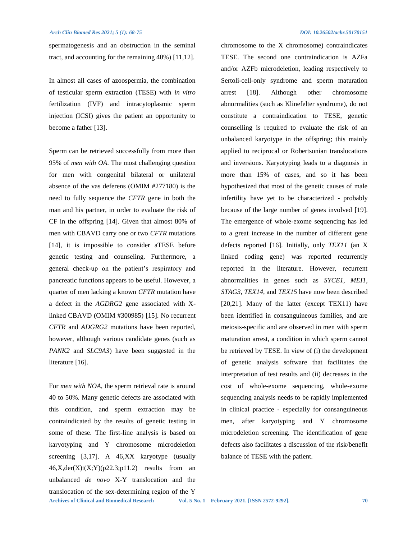spermatogenesis and an obstruction in the seminal tract, and accounting for the remaining 40%) [11,12].

In almost all cases of azoospermia, the combination of testicular sperm extraction (TESE) with *in vitro* fertilization (IVF) and intracytoplasmic sperm injection (ICSI) gives the patient an opportunity to become a father [13].

Sperm can be retrieved successfully from more than 95% of *men with OA*. The most challenging question for men with congenital bilateral or unilateral absence of the vas deferens (OMIM #277180) is the need to fully sequence the *CFTR* gene in both the man and his partner, in order to evaluate the risk of CF in the offspring [14]. Given that almost 80% of men with CBAVD carry one or two *CFTR* mutations [14], it is impossible to consider aTESE before genetic testing and counseling. Furthermore, a general check-up on the patient's respiratory and pancreatic functions appears to be useful. However, a quarter of men lacking a known *CFTR* mutation have a defect in the *AGDRG2* gene associated with Xlinked CBAVD (OMIM #300985) [15]. No recurrent *CFTR* and *ADGRG2* mutations have been reported, however, although various candidate genes (such as *PANK2* and *SLC9A3*) have been suggested in the literature [16].

**Archives of Clinical and Biomedical Research Vol. 5 No. 1 – February 2021. [ISSN 2572-9292]. 70** For *men with NOA*, the sperm retrieval rate is around 40 to 50%. Many genetic defects are associated with this condition, and sperm extraction may be contraindicated by the results of genetic testing in some of these. The first-line analysis is based on karyotyping and Y chromosome microdeletion screening [3,17]. A 46, XX karyotype (usually  $46, X, \text{der}(X)t(X;Y)(p22.3;p11.2)$  results from an unbalanced *de novo* X-Y translocation and the translocation of the sex-determining region of the Y

chromosome to the X chromosome) contraindicates TESE. The second one contraindication is AZFa and/or AZFb microdeletion, leading respectively to Sertoli-cell-only syndrome and sperm maturation arrest [18]. Although other chromosome abnormalities (such as Klinefelter syndrome), do not constitute a contraindication to TESE, genetic counselling is required to evaluate the risk of an unbalanced karyotype in the offspring; this mainly applied to reciprocal or Robertsonian translocations and inversions. Karyotyping leads to a diagnosis in more than 15% of cases, and so it has been hypothesized that most of the genetic causes of male infertility have yet to be characterized - probably because of the large number of genes involved [19]. The emergence of whole-exome sequencing has led to a great increase in the number of different gene defects reported [16]. Initially, only *TEX11* (an X linked coding gene) was reported recurrently reported in the literature. However, recurrent abnormalities in genes such as *SYCE1*, *MEI1*, *STAG3*, *TEX14*, and *TEX15* have now been described [20,21]. Many of the latter (except TEX11) have been identified in consanguineous families, and are meiosis-specific and are observed in men with sperm maturation arrest, a condition in which sperm cannot be retrieved by TESE. In view of (i) the development of genetic analysis software that facilitates the interpretation of test results and (ii) decreases in the cost of whole-exome sequencing, whole-exome sequencing analysis needs to be rapidly implemented in clinical practice - especially for consanguineous men, after karyotyping and Y chromosome microdeletion screening. The identification of gene defects also facilitates a discussion of the risk/benefit balance of TESE with the patient.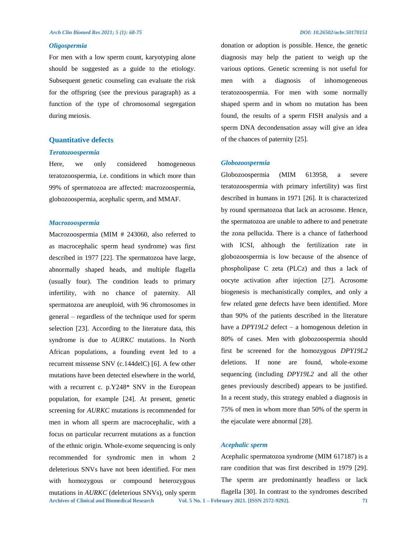#### *Oligospermia*

For men with a low sperm count, karyotyping alone should be suggested as a guide to the etiology. Subsequent genetic counseling can evaluate the risk for the offspring (see the previous paragraph) as a function of the type of chromosomal segregation during meiosis.

#### **Quantitative defects**

#### *Teratozoospermia*

Here, we only considered homogeneous teratozoospermia, i.e. conditions in which more than 99% of spermatozoa are affected: macrozoospermia, globozoospermia, acephalic sperm, and MMAF.

#### *Macrozoospermia*

**Archives of Clinical and Biomedical Research Vol. 5 No. 1 – February 2021. [ISSN 2572-9292]. 71** Macrozoospermia (MIM # 243060, also referred to as macrocephalic sperm head syndrome) was first described in 1977 [22]. The spermatozoa have large, abnormally shaped heads, and multiple flagella (usually four). The condition leads to primary infertility, with no chance of paternity. All spermatozoa are aneuploid, with 96 chromosomes in general – regardless of the technique used for sperm selection [23]. According to the literature data, this syndrome is due to *AURKC* mutations. In North African populations, a founding event led to a recurrent missense SNV (c.144delC) [6]. A few other mutations have been detected elsewhere in the world, with a recurrent c. p.Y248\* SNV in the European population, for example [24]. At present, genetic screening for *AURKC* mutations is recommended for men in whom all sperm are macrocephalic, with a focus on particular recurrent mutations as a function of the ethnic origin. Whole-exome sequencing is only recommended for syndromic men in whom 2 deleterious SNVs have not been identified. For men with homozygous or compound heterozygous mutations in *AURKC* (deleterious SNVs), only sperm

donation or adoption is possible. Hence, the genetic diagnosis may help the patient to weigh up the various options. Genetic screening is not useful for men with a diagnosis of inhomogeneous teratozoospermia. For men with some normally shaped sperm and in whom no mutation has been found, the results of a sperm FISH analysis and a sperm DNA decondensation assay will give an idea of the chances of paternity [25].

#### *Globozoospermia*

Globozoospermia (MIM 613958, a severe teratozoospermia with primary infertility) was first described in humans in 1971 [26]. It is characterized by round spermatozoa that lack an acrosome. Hence, the spermatozoa are unable to adhere to and penetrate the zona pellucida. There is a chance of fatherhood with ICSI, although the fertilization rate in globozoospermia is low because of the absence of phospholipase C zeta (PLCz) and thus a lack of oocyte activation after injection [27]. Acrosome biogenesis is mechanistically complex, and only a few related gene defects have been identified. More than 90% of the patients described in the literature have a *DPY19L2* defect – a homogenous deletion in 80% of cases. Men with globozoospermia should first be screened for the homozygous *DPY19L2* deletions. If none are found, whole-exome sequencing (including *DPY19L2* and all the other genes previously described) appears to be justified. In a recent study, this strategy enabled a diagnosis in 75% of men in whom more than 50% of the sperm in the ejaculate were abnormal [28].

#### *Acephalic sperm*

Acephalic spermatozoa syndrome (MIM [617187\)](https://omim.org/entry/617187) is a rare condition that was first described in 1979 [29]. The sperm are predominantly headless or lack flagella [30]. In contrast to the syndromes described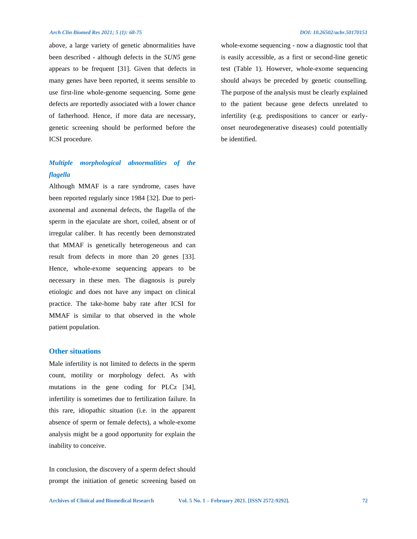above, a large variety of genetic abnormalities have been described - although defects in the *SUN5* gene appears to be frequent [31]. Given that defects in many genes have been reported, it seems sensible to use first-line whole-genome sequencing. Some gene defects are reportedly associated with a lower chance of fatherhood. Hence, if more data are necessary, genetic screening should be performed before the ICSI procedure.

# *Multiple morphological abnormalities of the flagella*

Although MMAF is a rare syndrome, cases have been reported regularly since 1984 [32]. Due to periaxonemal and axonemal defects, the flagella of the sperm in the ejaculate are short, coiled, absent or of irregular caliber. It has recently been demonstrated that MMAF is genetically heterogeneous and can result from defects in more than 20 genes [33]. Hence, whole-exome sequencing appears to be necessary in these men. The diagnosis is purely etiologic and does not have any impact on clinical practice. The take-home baby rate after ICSI for MMAF is similar to that observed in the whole patient population.

### **Other situations**

Male infertility is not limited to defects in the sperm count, motility or morphology defect. As with mutations in the gene coding for PLCz [34], infertility is sometimes due to fertilization failure. In this rare, idiopathic situation (i.e. in the apparent absence of sperm or female defects), a whole-exome analysis might be a good opportunity for explain the inability to conceive.

In conclusion, the discovery of a sperm defect should prompt the initiation of genetic screening based on whole-exome sequencing - now a diagnostic tool that is easily accessible, as a first or second-line genetic test (Table 1). However, whole-exome sequencing should always be preceded by genetic counselling. The purpose of the analysis must be clearly explained to the patient because gene defects unrelated to infertility (e.g. predispositions to cancer or earlyonset neurodegenerative diseases) could potentially be identified.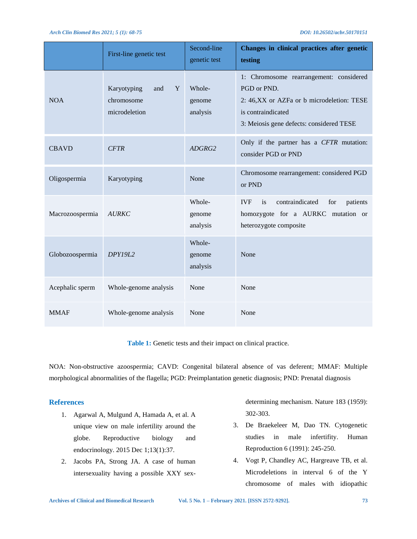|                 | First-line genetic test                                | Second-line<br>genetic test  | Changes in clinical practices after genetic<br>testing                                                                                                                 |
|-----------------|--------------------------------------------------------|------------------------------|------------------------------------------------------------------------------------------------------------------------------------------------------------------------|
| <b>NOA</b>      | Karyotyping<br>Y<br>and<br>chromosome<br>microdeletion | Whole-<br>genome<br>analysis | 1: Chromosome rearrangement: considered<br>PGD or PND.<br>2: 46, XX or AZFa or b microdeletion: TESE<br>is contraindicated<br>3: Meiosis gene defects: considered TESE |
| <b>CBAVD</b>    | <b>CFTR</b>                                            | ADGRG2                       | Only if the partner has a CFTR mutation:<br>consider PGD or PND                                                                                                        |
| Oligospermia    | Karyotyping                                            | None                         | Chromosome rearrangement: considered PGD<br>or PND                                                                                                                     |
| Macrozoospermia | <b>AURKC</b>                                           | Whole-<br>genome<br>analysis | contraindicated<br><b>IVF</b><br>patients<br>is<br>for<br>homozygote for a AURKC mutation or<br>heterozygote composite                                                 |
| Globozoospermia | DPY19L2                                                | Whole-<br>genome<br>analysis | None                                                                                                                                                                   |
| Acephalic sperm | Whole-genome analysis                                  | None                         | None                                                                                                                                                                   |
| <b>MMAF</b>     | Whole-genome analysis                                  | None                         | None                                                                                                                                                                   |

**Table 1:** Genetic tests and their impact on clinical practice.

NOA: Non-obstructive azoospermia; CAVD: Congenital bilateral absence of vas deferent; MMAF: Multiple morphological abnormalities of the flagella; PGD: Preimplantation genetic diagnosis; PND: Prenatal diagnosis

### **References**

- 1. Agarwal A, Mulgund A, Hamada A, et al. A unique view on male infertility around the globe. Reproductive biology and endocrinology. 2015 Dec 1;13(1):37.
- 2. Jacobs PA, Strong JA. A case of human intersexuality having a possible XXY sex-

determining mechanism. Nature 183 (1959): 302-303.

- 3. De Braekeleer M, Dao TN. Cytogenetic studies in male infertifity. Human Reproduction 6 (1991): 245-250.
- 4. Vogt P, Chandley AC, Hargreave TB, et al. Microdeletions in interval 6 of the Y chromosome of males with idiopathic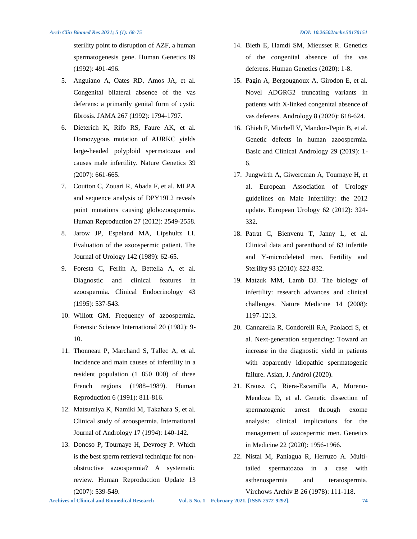sterility point to disruption of AZF, a human spermatogenesis gene. Human Genetics 89 (1992): 491-496.

- 5. Anguiano A, Oates RD, Amos JA, et al. Congenital bilateral absence of the vas deferens: a primarily genital form of cystic fibrosis. JAMA 267 (1992): 1794-1797.
- 6. Dieterich K, Rifo RS, Faure AK, et al. Homozygous mutation of AURKC yields large-headed polyploid spermatozoa and causes male infertility. Nature Genetics 39 (2007): 661-665.
- 7. Coutton C, Zouari R, Abada F, et al. MLPA and sequence analysis of DPY19L2 reveals point mutations causing globozoospermia. Human Reproduction 27 (2012): 2549-2558.
- 8. Jarow JP, Espeland MA, Lipshultz LI. Evaluation of the azoospermic patient. The Journal of Urology 142 (1989): 62-65.
- 9. Foresta C, Ferlin A, Bettella A, et al. Diagnostic and clinical features in azoospermia. Clinical Endocrinology 43 (1995): 537-543.
- 10. Willott GM. Frequency of azoospermia. Forensic Science International 20 (1982): 9- 10.
- 11. Thonneau P, Marchand S, Tallec A, et al. Incidence and main causes of infertility in a resident population (1 850 000) of three French regions (1988–1989). Human Reproduction 6 (1991): 811-816.
- 12. Matsumiya K, Namiki M, Takahara S, et al. Clinical study of azoospermia. International Journal of Andrology 17 (1994): 140-142.
- 13. Donoso P, Tournaye H, Devroey P. Which is the best sperm retrieval technique for nonobstructive azoospermia? A systematic review. Human Reproduction Update 13 (2007): 539-549.
- 14. Bieth E, Hamdi SM, Mieusset R. Genetics of the congenital absence of the vas deferens. Human Genetics (2020): 1-8.
- 15. Pagin A, Bergougnoux A, Girodon E, et al. Novel ADGRG2 truncating variants in patients with X‐linked congenital absence of vas deferens. Andrology 8 (2020): 618-624.
- 16. Ghieh F, Mitchell V, Mandon-Pepin B, et al. Genetic defects in human azoospermia. Basic and Clinical Andrology 29 (2019): 1- 6.
- 17. Jungwirth A, Giwercman A, Tournaye H, et al. European Association of Urology guidelines on Male Infertility: the 2012 update. European Urology 62 (2012): 324- 332.
- 18. Patrat C, Bienvenu T, Janny L, et al. Clinical data and parenthood of 63 infertile and Y-microdeleted men. Fertility and Sterility 93 (2010): 822-832.
- 19. Matzuk MM, Lamb DJ. The biology of infertility: research advances and clinical challenges. Nature Medicine 14 (2008): 1197-1213.
- 20. Cannarella R, Condorelli RA, Paolacci S, et al. Next-generation sequencing: Toward an increase in the diagnostic yield in patients with apparently idiopathic spermatogenic failure. Asian, J. Androl (2020).
- 21. Krausz C, Riera-Escamilla A, Moreno-Mendoza D, et al. Genetic dissection of spermatogenic arrest through exome analysis: clinical implications for the management of azoospermic men. Genetics in Medicine 22 (2020): 1956-1966.
- 22. Nistal M, Paniagua R, Herruzo A. Multitailed spermatozoa in a case with asthenospermia and teratospermia. Virchows Archiv B 26 (1978): 111-118.